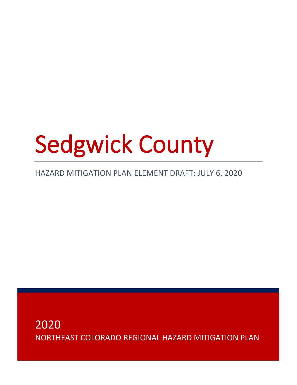# Sedgwick County

# HAZARD MITIGATION PLAN ELEMENT DRAFT: JULY 6, 2020

2020 NORTHEAST COLORADO REGIONAL HAZARD MITIGATION PLAN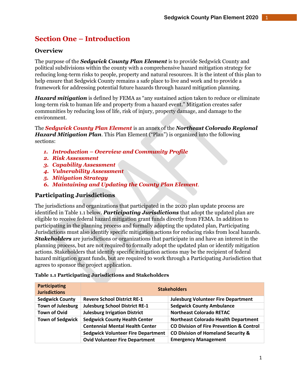# **Section One – Introduction**

# **Overview**

The purpose of the *Sedgwick County Plan Element* is to provide Sedgwick County and political subdivisions within the county with a comprehensive hazard mitigation strategy for reducing long-term risks to people, property and natural resources. It is the intent of this plan to help ensure that Sedgwick County remains a safe place to live and work and to provide a framework for addressing potential future hazards through hazard mitigation planning.

*Hazard mitigation* is defined by FEMA as "any sustained action taken to reduce or eliminate long-term risk to human life and property from a hazard event." Mitigation creates safer communities by reducing loss of life, risk of injury, property damage, and damage to the environment.

The *Sedgwick County Plan Element* is an annex of the *Northeast Colorado Regional Hazard Mitigation Plan*. This Plan Element ("Plan") is organized into the following sections:

- *1. Introduction – Overview and Community Profile*
- *2. Risk Assessment*
- *3. Capability Assessment*
- *4. Vulnerability Assessment*
- *5. Mitigation Strategy*
- *6. Maintaining and Updating the County Plan Element.*

## **Participating Jurisdictions**

The jurisdictions and organizations that participated in the 2020 plan update process are identified in Table 1.1 below. *Participating Jurisdictions* that adopt the updated plan are eligible to receive federal hazard mitigation grant funds directly from FEMA. In addition to participating in the planning process and formally adopting the updated plan, Participating Jurisdictions must also identify specific mitigation actions for reducing risks from local hazards. *Stakeholders* are jurisdictions or organizations that participate in and have an interest in the planning process, but are not required to formally adopt the updated plan or identify mitigation actions. Stakeholders that identify specific mitigation actions may be the recipient of federal hazard mitigation grant funds, but are required to work through a Participating Jurisdiction that agrees to sponsor the project application.

| Participating<br><b>Jurisdictions</b> | <b>Stakeholders</b>                       |                                                     |  |
|---------------------------------------|-------------------------------------------|-----------------------------------------------------|--|
| <b>Sedgwick County</b>                | <b>Revere School District RE-1</b>        | <b>Julesburg Volunteer Fire Department</b>          |  |
| <b>Town of Julesburg</b>              | <b>Julesburg School District RE-1</b>     | <b>Sedgwick County Ambulance</b>                    |  |
| <b>Town of Ovid</b>                   | <b>Julesburg Irrigation District</b>      | <b>Northeast Colorado RETAC</b>                     |  |
| <b>Town of Sedgwick</b>               | <b>Sedgwick County Health Center</b>      | <b>Northeast Colorado Health Department</b>         |  |
|                                       | <b>Centennial Mental Health Center</b>    | <b>CO Division of Fire Prevention &amp; Control</b> |  |
|                                       | <b>Sedgwick Volunteer Fire Department</b> | CO Division of Homeland Security &                  |  |
|                                       | <b>Ovid Volunteer Fire Department</b>     | <b>Emergency Management</b>                         |  |

#### **Table 1.1 Participating Jurisdictions and Stakeholders**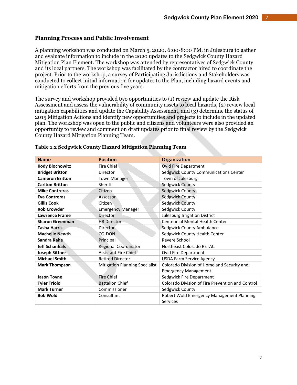#### **Planning Process and Public Involvement**

A planning workshop was conducted on March 5, 2020, 6:00-8:00 PM, in Julesburg to gather and evaluate information to include in the 2020 updates to the Sedgwick County Hazard Mitigation Plan Element. The workshop was attended by representatives of Sedgwick County and its local partners. The workshop was facilitated by the contractor hired to coordinate the project. Prior to the workshop, a survey of Participating Jurisdictions and Stakeholders was conducted to collect initial information for updates to the Plan, including hazard events and mitigation efforts from the previous five years.

The survey and workshop provided two opportunities to (1) review and update the Risk Assessment and assess the vulnerability of community assets to local hazards, (2) review local mitigation capabilities and update the Capability Assessment, and (3) determine the status of 2015 Mitigation Actions and identify new opportunities and projects to include in the updated plan. The workshop was open to the public and citizens and volunteers were also provided an opportunity to review and comment on draft updates prior to final review by the Sedgwick County Hazard Mitigation Planning Team.

| <b>Name</b>            | <b>Position</b>                       | <b>Organization</b>                                   |  |
|------------------------|---------------------------------------|-------------------------------------------------------|--|
| <b>Kody Blochowitz</b> | <b>Fire Chief</b>                     | <b>Ovid Fire Department</b>                           |  |
| <b>Bridget Britton</b> | Director                              | Sedgwick County Communications Center                 |  |
| <b>Cameron Britton</b> | <b>Town Manager</b>                   | Town of Julesburg                                     |  |
| <b>Carlton Britton</b> | Sheriff                               | Sedgwick County                                       |  |
| <b>Mike Contreras</b>  | Citizen                               | Sedgwick County                                       |  |
| <b>Eva Contreras</b>   | Assessor                              | Sedgwick County                                       |  |
| <b>Gillis Cook</b>     | Citizen                               | Sedgwick County                                       |  |
| <b>Rob Crowder</b>     | <b>Emergency Manager</b>              | Sedgwick County                                       |  |
| <b>Lawrence Frame</b>  | Director                              | Julesburg Irrigation District                         |  |
| <b>Sharon Greenman</b> | <b>HR Director</b>                    | <b>Centennial Mental Health Center</b>                |  |
| <b>Tasha Harris</b>    | Director                              | Sedgwick County Ambulance                             |  |
| <b>Machelle Newth</b>  | CO-DON                                | Sedgwick County Health Center                         |  |
| Sandra Rahe            | Principal                             | Revere School                                         |  |
| <b>Jeff Schanhals</b>  | <b>Regional Coordinator</b>           | Northeast Colorado RETAC                              |  |
| <b>Joseph Sittner</b>  | Assistant Fire Chief                  | <b>Ovid Fire Department</b>                           |  |
| <b>Michael Smith</b>   | <b>Retired Director</b>               | <b>USDA Farm Service Agency</b>                       |  |
| <b>Mark Thompson</b>   | <b>Mitigation Planning Specialist</b> | Colorado Division of Homeland Security and            |  |
|                        |                                       | <b>Emergency Management</b>                           |  |
| <b>Jason Toyne</b>     | <b>Fire Chief</b>                     | Sedgwick Fire Department                              |  |
| <b>Tyler Triolo</b>    | <b>Battalion Chief</b>                | Colorado Division of Fire Prevention and Control      |  |
| <b>Mark Turner</b>     | Commissioner                          | Sedgwick County                                       |  |
| <b>Bob Wold</b>        | Consultant                            | Robert Wold Emergency Management Planning<br>Services |  |

#### **Table 1.2 Sedgwick County Hazard Mitigation Planning Team**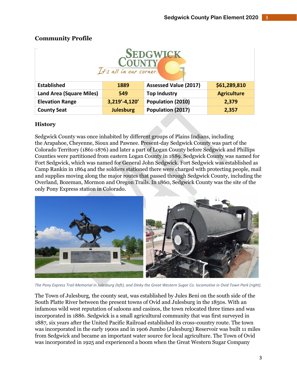| <b>SEDGWICK</b><br><b>COUNTY</b><br>It's all in our corner. |                  |                              |                    |  |
|-------------------------------------------------------------|------------------|------------------------------|--------------------|--|
| <b>Established</b>                                          | 1889             | <b>Assessed Value (2017)</b> | \$61,289,810       |  |
| <b>Land Area (Square Miles)</b>                             | 549              | <b>Top Industry</b>          | <b>Agriculture</b> |  |
| <b>Elevation Range</b>                                      | 3,219'-4,120'    | Population (2010)            | 2,379              |  |
| <b>County Seat</b>                                          | <b>Julesburg</b> | Population (2017)            | 2,357              |  |

# **Community Profile**

# **History**

Sedgwick County was once inhabited by different groups of Plains Indians, including the Arapahoe, Cheyenne, Sioux and Pawnee. Present-day Sedgwick County was part of the Colorado Territory (1861-1876) and later a part of Logan County before Sedgwick and Phillips Counties were partitioned from eastern Logan County in 1889. Sedgwick County was named for Fort Sedgwick, which was named for General John Sedgwick. Fort Sedgwick was established as Camp Rankin in 1864 and the soldiers stationed there were charged with protecting people, mail and supplies moving along the major routes that passed through Sedgwick County, including the Overland, Bozeman, Mormon and Oregon Trails. In 1860, Sedgwick County was the site of the only Pony Express station in Colorado.



*The Pony Express Trail Memorial in Julesburg (left), and Dinky the Great Western Sugar Co. locomotive in Ovid Town Park (right).*

The Town of Julesburg, the county seat, was established by Jules Beni on the south side of the South Platte River between the present towns of Ovid and Julesburg in the 1850s. With an infamous wild west reputation of saloons and casinos, the town relocated three times and was incorporated in 1886. Sedgwick is a small agricultural community that was first surveyed in 1887, six years after the United Pacific Railroad established its cross-country route. The town was incorporated in the early 1900s and in 1906 Jumbo (Julesburg) Reservoir was built 11 miles from Sedgwick and became an important water source for local agriculture. The Town of Ovid was incorporated in 1925 and experienced a boom when the Great Western Sugar Company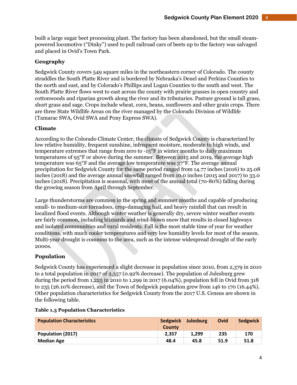built a large sugar beet processing plant. The factory has been abandoned, but the small steampowered locomotive ("Dinky") used to pull railroad cars of beets up to the factory was salvaged and placed in Ovid's Town Park.

## **Geography**

Sedgwick County covers 549 square miles in the northeastern corner of Colorado. The county straddles the South Platte River and is bordered by Nebraska's Deuel and Perkins Counties to the north and east, and by Colorado's Phillips and Logan Counties to the south and west. The South Platte River flows west to east across the county with prairie grasses in open country and cottonwoods and riparian growth along the river and its tributaries. Pasture ground is tall grass, short grass and sage. Crops include wheat, corn, beans, sunflowers and other grain crops. There are three State Wildlife Areas on the river managed by the Colorado Division of Wildlife (Tamarac SWA, Ovid SWA and Pony Express SWA).

## **Climate**

According to the Colorado Climate Center, the climate of Sedgwick County is characterized by low relative humidity, frequent sunshine, infrequent moisture, moderate to high winds, and temperature extremes that range from zero to -15°F in winter months to daily maximum temperatures of 95°F or above during the summer. Between 2015 and 2019, the average high temperature was 65°F and the average low temperature was 37°F. The average annual precipitation for Sedgwick County for the same period ranged from 14.77 inches (2016) to 25.08 inches (2018) and the average annual snowfall ranged from 10.0 inches (2015 and 2017) to 33.0 inches (2018). Precipitation is seasonal, with most of the annual total (70-80%) falling during the growing season from April through September.

Large thunderstorms are common in the spring and summer months and capable of producing small- to medium-size tornadoes, crop-damaging hail, and heavy rainfall that can result in localized flood events. Although winter weather is generally dry, severe winter weather events are fairly common, including blizzards and wind-blown snow that results in closed highways and isolated communities and rural residents. Fall is the most stable time of year for weather conditions, with much cooler temperatures and very low humidity levels for most of the season. Multi-year drought is common to the area, such as the intense widespread drought of the early 2000s.

## **Population**

Sedgwick County has experienced a slight decrease in population since 2010, from 2,379 in 2010 to a total population in 2017 of 2,357 (0.92% decrease). The population of Julesburg grew during the period from 1,225 in 2010 to 1,299 in 2017 (6.04%), population fell in Ovid from 318 to 235 (26.10% decrease), and the Town of Sedgwick population grew from 146 to 170 (16.44%). Other population characteristics for Sedgwick County from the 2017 U.S. Census are shown in the following table.

| <b>Population Characteristics</b> | Sedgwick<br>County | <b>Julesburg</b> | Ovid | Sedgwick |
|-----------------------------------|--------------------|------------------|------|----------|
| Population (2017)                 | 2.357              | 1.299            | 235  | 170      |
| <b>Median Age</b>                 | 48.4               | 45.8             | 51.9 | 51.8     |

#### **Table 1.3 Population Characteristics**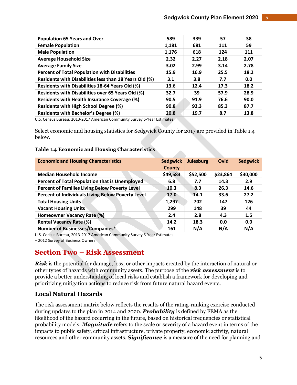| <b>Population 65 Years and Over</b>                    | 589   | 339  | 57   | 38   |
|--------------------------------------------------------|-------|------|------|------|
| <b>Female Population</b>                               | 1,181 | 681  | 111  | 59   |
| <b>Male Population</b>                                 | 1,176 | 618  | 124  | 111  |
| <b>Average Household Size</b>                          | 2.32  | 2.27 | 2.18 | 2.07 |
| <b>Average Family Size</b>                             | 3.02  | 2.99 | 3.14 | 2.78 |
| <b>Percent of Total Population with Disabilities</b>   | 15.9  | 16.9 | 25.5 | 18.2 |
| Residents with Disabilities less than 18 Years Old (%) | 3.1   | 3.8  | 7.7  | 0.0  |
| Residents with Disabilities 18-64 Years Old (%)        | 13.6  | 12.4 | 17.3 | 18.2 |
| Residents with Disabilities over 65 Years Old (%)      | 32.7  | 39   | 57.9 | 28.9 |
| <b>Residents with Health Insurance Coverage (%)</b>    | 90.5  | 91.9 | 76.6 | 90.0 |
| <b>Residents with High School Degree (%)</b>           | 90.8  | 92.3 | 85.3 | 87.7 |
| <b>Residents with Bachelor's Degree (%)</b>            | 20.8  | 19.7 | 8.7  | 13.8 |

U.S. Census Bureau, 2013-2017 American Community Survey 5-Year Estimates

Select economic and housing statistics for Sedgwick County for 2017 are provided in Table 1.4 below.

#### **Table 1.4 Economic and Housing Characteristics**

| <b>Economic and Housing Characteristics</b>           | <b>Sedgwick</b><br><b>County</b> | <b>Julesburg</b> | Ovid     | <b>Sedgwick</b> |
|-------------------------------------------------------|----------------------------------|------------------|----------|-----------------|
| <b>Median Household Income</b>                        | \$49,583                         | \$52,500         | \$23,864 | \$30,000        |
| Percent of Total Population that is Unemployed        | 6.8                              | 7.7              | 14.3     | 2.9             |
| <b>Percent of Families Living Below Poverty Level</b> | 10.3                             | 8.3              | 26.3     | 14.6            |
| Percent of Individuals Living Below Poverty Level     | 17.0                             | 14.1             | 33.6     | 27.2            |
| <b>Total Housing Units</b>                            | 1,297                            | 702              | 147      | 126             |
| <b>Vacant Housing Units</b>                           | 299                              | 148              | 39       | 44              |
| <b>Homeowner Vacancy Rate (%)</b>                     | 2.4                              | 2.8              | 4.3      | 1.5             |
| <b>Rental Vacancy Rate (%)</b>                        | 14.2                             | 18.3             | 0.0      | 0.0             |
| <b>Number of Businesses/Companies*</b>                | 161                              | N/A              | N/A      | N/A             |

U.S. Census Bureau, 2013-2017 American Community Survey 5-Year Estimates

2012 Survey of Business Owners

# **Section Two – Risk Assessment**

*Risk* is the potential for damage, loss, or other impacts created by the interaction of natural or other types of hazards with community assets. The purpose of the *risk assessment* is to provide a better understanding of local risks and establish a framework for developing and prioritizing mitigation actions to reduce risk from future natural hazard events.

# **Local Natural Hazards**

The risk assessment matrix below reflects the results of the rating-ranking exercise conducted during updates to the plan in 2014 and 2020. *Probability* is defined by FEMA as the likelihood of the hazard occurring in the future, based on historical frequencies or statistical probability models. *Magnitude* refers to the scale or severity of a hazard event in terms of the impacts to public safety, critical infrastructure, private property, economic activity, natural resources and other community assets. *Significance* is a measure of the need for planning and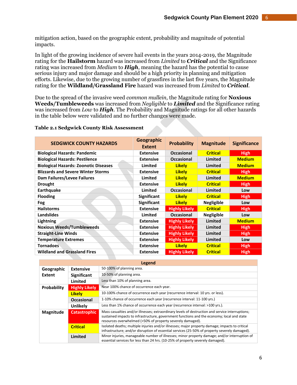mitigation action, based on the geographic extent, probability and magnitude of potential impacts.

In light of the growing incidence of severe hail events in the years 2014-2019, the Magnitude rating for the **Hailstorm** hazard was increased from *Limited* to *Critical* and the Significance rating was increased from *Medium* to *High*, meaning the hazard has the potential to cause serious injury and major damage and should be a high priority in planning and mitigation efforts. Likewise, due to the growing number of grassfires in the last five years, the Magnitude rating for the **Wildland/Grassland Fire** hazard was increased from *Limited* to *Critical*.

Due to the spread of the invasive weed *common mullein*, the Magnitude rating for **Noxious Weeds/Tumbleweeds** was increased from *Negligible* to *Limited* and the Significance rating was increased from *Low* to *High*. The Probability and Magnitude ratings for all other hazards in the table below were validated and no further changes were made.

#### **Table 2.1 Sedgwick County Risk Assessment**

| <b>SEDGWICK COUNTY HAZARDS</b>               | <b>Geographic</b><br><b>Extent</b> | <b>Probability</b>   | <b>Magnitude</b>  | <b>Significance</b> |
|----------------------------------------------|------------------------------------|----------------------|-------------------|---------------------|
| <b>Biological Hazards: Pandemic</b>          | <b>Extensive</b>                   | <b>Occasional</b>    | <b>Critical</b>   | <b>High</b>         |
| <b>Biological Hazards: Pestilence</b>        | <b>Extensive</b>                   | <b>Occasional</b>    | Limited           | <b>Medium</b>       |
| <b>Biological Hazards: Zoonotic Diseases</b> | Limited                            | <b>Likelv</b>        | Limited           | <b>Medium</b>       |
| <b>Blizzards and Severe Winter Storms</b>    | <b>Extensive</b>                   | <b>Likelv</b>        | <b>Critical</b>   | <b>High</b>         |
| Dam Failures/Levee Failures                  | Limited                            | <b>Likely</b>        | Limited           | <b>Medium</b>       |
| <b>Drought</b>                               | <b>Extensive</b>                   | <b>Likely</b>        | <b>Critical</b>   | <b>High</b>         |
| <b>Earthquake</b>                            | Limited                            | <b>Occasional</b>    | <b>Limited</b>    | Low                 |
| <b>Flooding</b>                              | <b>Significant</b>                 | <b>Likelv</b>        | <b>Critical</b>   | <b>High</b>         |
| <b>Fog</b>                                   | <b>Significant</b>                 | <b>Likely</b>        | <b>Negligible</b> | Low                 |
| <b>Hailstorms</b>                            | <b>Extensive</b>                   | <b>Highly Likely</b> | <b>Critical</b>   | <b>High</b>         |
| <b>Landslides</b>                            | Limited                            | <b>Occasional</b>    | <b>Negligible</b> | Low                 |
| Lightning                                    | <b>Extensive</b>                   | <b>Highly Likely</b> | Limited           | <b>Medium</b>       |
| <b>Noxious Weeds/Tumbleweeds</b>             | <b>Extensive</b>                   | <b>Highly Likely</b> | Limited           | <b>High</b>         |
| <b>Straight-Line Winds</b>                   | <b>Extensive</b>                   | <b>Highly Likely</b> | Limited           | <b>High</b>         |
| <b>Temperature Extremes</b>                  | <b>Extensive</b>                   | <b>Highly Likely</b> | Limited           | Low                 |
| <b>Tornadoes</b>                             | <b>Extensive</b>                   | <b>Likely</b>        | <b>Critical</b>   | <b>High</b>         |
| <b>Wildland and Grassland Fires</b>          | <b>Extensive</b>                   | <b>Highly Likely</b> | <b>Critical</b>   | <b>High</b>         |

|                                  |                      | Legend                                                                                                                                                                                                                                                       |
|----------------------------------|----------------------|--------------------------------------------------------------------------------------------------------------------------------------------------------------------------------------------------------------------------------------------------------------|
| Geographic                       | <b>Extensive</b>     | 50-100% of planning area.                                                                                                                                                                                                                                    |
| Extent                           | <b>Significant</b>   | 10-50% of planning area.                                                                                                                                                                                                                                     |
|                                  | Limited              | Less than 10% of planning area.                                                                                                                                                                                                                              |
| Probability                      | <b>Highly Likely</b> | Near 100% chance of occurrence each year.                                                                                                                                                                                                                    |
|                                  | <b>Likely</b>        | 10-100% chance of occurrence each year (recurrence interval: 10 yrs. or less).                                                                                                                                                                               |
| <b>Occasional</b>                |                      | 1-10% chance of occurrence each year (recurrence interval: 11-100 yrs.)                                                                                                                                                                                      |
|                                  | <b>Unlikely</b>      | Less than 1% chance of occurrence each year (recurrence interval: >100 yrs.).                                                                                                                                                                                |
| <b>Catastrophic</b><br>Magnitude |                      | Mass casualties and/or illnesses; extraordinary levels of destruction and service interruptions;<br>sustained impacts to infrastructure, government functions and the economy; local and state<br>resources overwhelmed (>50% of property severely damaged). |
|                                  | <b>Critical</b>      | Isolated deaths; multiple injuries and/or illnesses; major property damage; impacts to critical<br>infrastructure; and/or disruption of essential services (25-50% of property severely damaged).                                                            |
|                                  | Limited              | Minor injuries, manageable number of illnesses; minor property damage; and/or interruption of<br>essential services for less than 24 hrs. (10-25% of property severely damaged).                                                                             |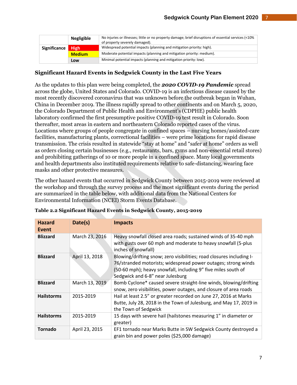|              | <b>Negligible</b> | No injuries or illnesses; little or no property damage; brief disruptions of essential services (<10%)<br>of property severely damaged). |  |
|--------------|-------------------|------------------------------------------------------------------------------------------------------------------------------------------|--|
| Significance | <b>High</b>       | Widespread potential impacts (planning and mitigation priority: high).                                                                   |  |
|              | <b>Medium</b>     | Moderate potential impacts (planning and mitigation priority: medium).                                                                   |  |
|              | <b>LOW</b>        | Minimal potential impacts (planning and mitigation priority: low).                                                                       |  |

# **Significant Hazard Events in Sedgwick County in the Last Five Years**

As the updates to this plan were being completed, the *2020 COVID-19 Pandemic* spread across the globe, United States and Colorado. COVID-19 is an infectious disease caused by the most recently discovered coronavirus that was unknown before the outbreak began in Wuhan, China in December 2019. The illness rapidly spread to other continents and on March 5, 2020, the Colorado Department of Public Health and Environment's (CDPHE) public health laboratory confirmed the first presumptive positive COVID-19 test result in Colorado. Soon thereafter, most areas in eastern and northeastern Colorado reported cases of the virus. Locations where groups of people congregate in confined spaces – nursing homes/assisted-care facilities, manufacturing plants, correctional facilities – were prime locations for rapid disease transmission. The crisis resulted in statewide "stay at home" and "safer at home" orders as well as orders closing certain businesses (e.g., restaurants, bars, gyms and non-essential retail stores) and prohibiting gatherings of 10 or more people in a confined space. Many local governments and health departments also instituted requirements relative to safe-distancing, wearing face masks and other protective measures.

The other hazard events that occurred in Sedgwick County between 2015-2019 were reviewed at the workshop and through the survey process and the most significant events during the period are summarized in the table below, with additional data from the National Centers for Environmental Information (NCEI) Storm Events Database.

| <b>Hazard</b><br>Event | Date(s)        | <b>Impacts</b>                                                                                                                                                                                                                             |
|------------------------|----------------|--------------------------------------------------------------------------------------------------------------------------------------------------------------------------------------------------------------------------------------------|
| <b>Blizzard</b>        | March 23, 2016 | Heavy snowfall closed area roads; sustained winds of 35-40 mph<br>with gusts over 60 mph and moderate to heavy snowfall (5-plus<br>inches of snowfall)                                                                                     |
| <b>Blizzard</b>        | April 13, 2018 | Blowing/drifting snow; zero visibilities; road closures including I-<br>76/stranded motorists; widespread power outages; strong winds<br>(50-60 mph); heavy snowfall, including 9" five miles south of<br>Sedgwick and 6-8" near Julesburg |
| <b>Blizzard</b>        | March 13, 2019 | Bomb Cyclone* caused severe straight-line winds, blowing/drifting<br>snow, zero visibilities, power outages, and closure of area roads                                                                                                     |
| <b>Hailstorms</b>      | 2015-2019      | Hail at least 2.5" or greater recorded on June 27, 2016 at Marks<br>Butte, July 28, 2018 in the Town of Julesburg, and May 17, 2019 in<br>the Town of Sedgwick                                                                             |
| <b>Hailstorms</b>      | 2015-2019      | 15 days with severe hail (hailstones measuring 1" in diameter or<br>greater)                                                                                                                                                               |
| <b>Tornado</b>         | April 23, 2015 | EF1 tornado near Marks Butte in SW Sedgwick County destroyed a<br>grain bin and power poles (\$25,000 damage)                                                                                                                              |

| Table 2.2 Significant Hazard Events in Sedgwick County, 2015-2019 |  |  |  |
|-------------------------------------------------------------------|--|--|--|
|                                                                   |  |  |  |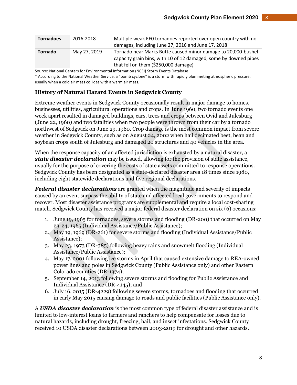| <b>Tornadoes</b> | 2016-2018    | Multiple weak EFO tornadoes reported over open country with no<br>damages, including June 27, 2016 and June 17, 2018                                                      |
|------------------|--------------|---------------------------------------------------------------------------------------------------------------------------------------------------------------------------|
| <b>Tornado</b>   | May 27, 2019 | Tornado near Marks Butte caused minor damage to 20,000-bushel<br>capacity grain bins, with 10 of 12 damaged, some by downed pipes<br>that fell on them (\$250,000 damage) |

Source: National Centers for Environmental Information (NCEI) Storm Events Database

\* According to the National Weather Service, a "bomb cyclone" is a storm with rapidly plummeting atmospheric pressure, usually when a cold air mass collides with a warm air mass.

# **History of Natural Hazard Events in Sedgwick County**

Extreme weather events in Sedgwick County occasionally result in major damage to homes, businesses, utilities, agricultural operations and crops. In June 1960, two tornado events one week apart resulted in damaged buildings, cars, trees and crops between Ovid and Julesburg (June 22, 1960) and two fatalities when two people were thrown from their car by a tornado northwest of Sedgwick on June 29, 1960. Crop damage is the most common impact from severe weather in Sedgwick County, such as on August 24, 2002 when hail decimated beet, bean and soybean crops south of Julesburg and damaged 20 structures and 40 vehicles in the area.

When the response capacity of an affected jurisdiction is exhausted by a natural disaster, a *state disaster declaration* may be issued, allowing for the provision of state assistance, usually for the purpose of covering the costs of state assets committed to response operations. Sedgwick County has been designated as a state-declared disaster area 18 times since 1980, including eight statewide declarations and five regional declarations.

*Federal disaster declarations* are granted when the magnitude and severity of impacts caused by an event surpass the ability of state and affected local governments to respond and recover. Most disaster assistance programs are supplemental and require a local cost-sharing match. Sedgwick County has received a major federal disaster declaration on six (6) occasions:

- 1. June 19, 1965 for tornadoes, severe storms and flooding (DR-200) that occurred on May 23-24, 1965 (Individual Assistance/Public Assistance);
- 2. May 19, 1969 (DR-261) for severe storms and flooding (Individual Assistance/Public Assistance);
- 3. May 23, 1973 (DR-385) following heavy rains and snowmelt flooding (Individual Assistance/Public Assistance);
- 4. May 17, 2001 following ice storms in April that caused extensive damage to REA-owned power lines and poles in Sedgwick County (Public Assistance only) and other Eastern Colorado counties (DR-1374);
- 5. September 14, 2013 following severe storms and flooding for Public Assistance and Individual Assistance (DR-4145); and
- 6. July 16, 2015 (DR-4229) following severe storms, tornadoes and flooding that occurred in early May 2015 causing damage to roads and public facilities (Public Assistance only).

A *USDA disaster declaration* is the most common type of federal disaster assistance and is limited to low-interest loans to farmers and ranchers to help compensate for losses due to natural hazards, including drought, freezing, hail, and insect infestations. Sedgwick County received 10 USDA disaster declarations between 2003-2019 for drought and other hazards.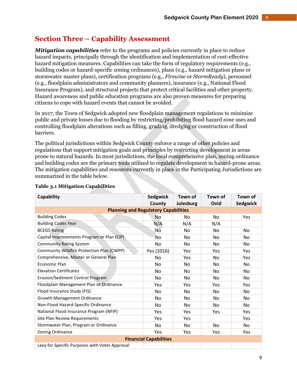# **Section Three – Capability Assessment**

*Mitigation capabilities* refer to the programs and policies currently in place to reduce hazard impacts, principally through the identification and implementation of cost-effective hazard mitigation measures. Capabilities can take the form of regulatory requirements (e.g., building codes or hazard-specific zoning ordinances), plans (e.g., hazard mitigation plans or stormwater master plans), certification programs (e.g., *Firewise* or *StormReady*), personnel (e.g., floodplain administrators and community planners), insurance (e.g., National Flood Insurance Program), and structural projects that protect critical facilities and other property. Hazard awareness and public education programs are also proven measures for preparing citizens to cope with hazard events that cannot be avoided.

In 2017, the Town of Sedgwick adopted new floodplain management regulations to minimize public and private losses due to flooding by restricting/prohibiting flood hazard zone uses and controlling floodplain alterations such as filling, grading, dredging or construction of flood barriers.

The political jurisdictions within Sedgwick County enforce a range of other policies and regulations that support mitigation goals and principles by restricting development in areas prone to natural hazards. In most jurisdictions, the local comprehensive plan, zoning ordinance and building codes are the primary tools utilized to regulate development in hazard-prone areas. The mitigation capabilities and resources currently in place in the Participating Jurisdictions are summarized in the table below.

| Capability                                     | <b>Sedgwick</b>               | Town of          | Town of        | Town of         |
|------------------------------------------------|-------------------------------|------------------|----------------|-----------------|
|                                                | County                        | <b>Julesburg</b> | Ovid           | <b>Sedgwick</b> |
| <b>Planning and Regulatory Capabilities</b>    |                               |                  |                |                 |
| <b>Building Codes</b>                          | <b>No</b>                     | No               | N <sub>o</sub> | Yes             |
| <b>Building Codes Year</b>                     | N/A                           | N/A              | N/A            |                 |
| <b>BCEGS Rating</b>                            | No                            | No               | No             | N <sub>o</sub>  |
| Capital Improvements Program or Plan (CIP)     | No                            | No               | No             | No              |
| <b>Community Rating System</b>                 | No                            | No               | No.            | No              |
| Community Wildfire Protection Plan (CWPP)      | Yes (2016)                    | Yes              | Yes            | Yes             |
| Comprehensive, Master or General Plan          | No                            | Yes              | No             | Yes             |
| Economic Plan                                  | No                            | No               | No             | No.             |
| <b>Elevation Certificates</b>                  | No                            | No               | No             | No              |
| Erosion/Sediment Control Program               | <b>No</b>                     | <b>No</b>        | <b>No</b>      | <b>No</b>       |
| Floodplain Management Plan or Ordinance        | Yes                           | Yes              | Yes            | Yes             |
| Flood Insurance Study (FIS)                    | No                            | No               | No             | No              |
| Growth Management Ordinance                    | No                            | No               | No.            | No              |
| Non-Flood Hazard-Specific Ordinance            | No                            | No               | No.            | No              |
| National Flood Insurance Program (NFIP)        | Yes                           | Yes              | Yes            | Yes             |
| Site Plan Review Requirements                  | Yes                           | Yes              |                | Yes             |
| Stormwater Plan, Program or Ordinance          | No                            | No               | <b>No</b>      | No.             |
| Zoning Ordinance                               | Yes                           | Yes              | Yes            | Yes             |
|                                                | <b>Financial Capabilities</b> |                  |                |                 |
| Levy for Specific Purposes with Voter Approval |                               |                  |                |                 |

#### **Table 3.1 Mitigation Capabilities**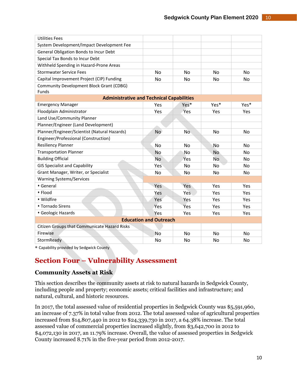| <b>Utilities Fees</b>                                    |                               |           |                |           |
|----------------------------------------------------------|-------------------------------|-----------|----------------|-----------|
| System Development/Impact Development Fee                |                               |           |                |           |
| General Obligation Bonds to Incur Debt                   |                               |           |                |           |
| Special Tax Bonds to Incur Debt                          |                               |           |                |           |
| Withheld Spending in Hazard-Prone Areas                  |                               |           |                |           |
| <b>Stormwater Service Fees</b>                           | No                            | No        | No             | No        |
| Capital Improvement Project (CIP) Funding                | <b>No</b>                     | No        | <b>No</b>      | <b>No</b> |
| <b>Community Development Block Grant (CDBG)</b><br>Funds |                               |           |                |           |
| <b>Administrative and Technical Capabilities</b>         |                               |           |                |           |
| <b>Emergency Manager</b>                                 | Yes                           | Yes*      | Yes*           | Yes*      |
| Floodplain Administrator                                 | Yes                           | Yes       | Yes            | Yes       |
| Land Use/Community Planner                               |                               |           |                |           |
| Planner/Engineer (Land Development)                      |                               |           |                |           |
| Planner/Engineer/Scientist (Natural Hazards)             | No                            | No        | <b>No</b>      | No        |
| Engineer/Professional (Construction)                     |                               |           |                |           |
| <b>Resiliency Planner</b>                                | <b>No</b>                     | <b>No</b> | No             | <b>No</b> |
| <b>Transportation Planner</b>                            | <b>No</b>                     | No        | <b>No</b>      | No        |
| <b>Building Official</b>                                 | <b>No</b>                     | Yes       | N <sub>o</sub> | <b>No</b> |
| <b>GIS Specialist and Capability</b>                     | Yes                           | No        | No             | No        |
| Grant Manager, Writer, or Specialist                     | No                            | No        | No             | No        |
| <b>Warning Systems/Services</b>                          |                               |           |                |           |
| General                                                  | Yes                           | Yes       | Yes            | Yes       |
| • Flood                                                  | Yes                           | Yes       | Yes            | Yes       |
| • Wildfire                                               | Yes                           | Yes       | Yes            | Yes       |
| <b>* Tornado Sirens</b>                                  | Yes                           | Yes       | <b>Yes</b>     | Yes       |
| • Geologic Hazards                                       | Yes                           | Yes       | Yes            | Yes       |
|                                                          | <b>Education and Outreach</b> |           |                |           |
| Citizen Groups that Communicate Hazard Risks             |                               |           |                |           |
| Firewise                                                 | <b>No</b>                     | <b>No</b> | <b>No</b>      | <b>No</b> |
| StormReady                                               | No                            | No        | No             | No        |

Capability provided by Sedgwick County

# **Section Four – Vulnerability Assessment**

# **Community Assets at Risk**

This section describes the community assets at risk to natural hazards in Sedgwick County, including people and property; economic assets; critical facilities and infrastructure; and natural, cultural, and historic resources.

In 2017, the total assessed value of residential properties in Sedgwick County was \$5,591,960, an increase of 7.37% in total value from 2012. The total assessed value of agricultural properties increased from \$14,807,440 in 2012 to \$24,339,730 in 2017, a 64.38% increase. The total assessed value of commercial properties increased slightly, from \$3,642,700 in 2012 to \$4,072,130 in 2017, an 11.79% increase. Overall, the value of assessed properties in Sedgwick County increased 8.71% in the five-year period from 2012-2017.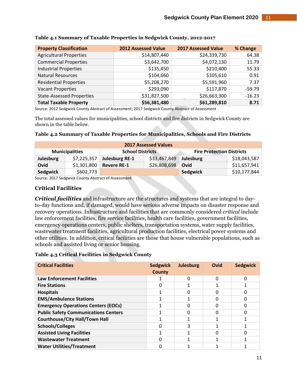| <b>Property Classification</b>   | <b>2012 Assessed Value</b> | <b>2017 Assessed Value</b> | % Change |
|----------------------------------|----------------------------|----------------------------|----------|
| <b>Agricultural Properties</b>   | \$14,807,440               | \$24,339,730               | 64.38    |
| <b>Commercial Properties</b>     | \$3,642,700                | \$4,072,130                | 11.79    |
| <b>Industrial Properties</b>     | \$135,450                  | \$210,400                  | 55.33    |
| <b>Natural Resources</b>         | \$104,660                  | \$105,610                  | 0.91     |
| <b>Residential Properties</b>    | \$5,208,270                | \$5,591,960                | 7.37     |
| <b>Vacant Properties</b>         | \$293,090                  | \$117,870                  | $-59.79$ |
| <b>State-Assessed Properties</b> | \$31,827,500               | \$26,663,300               | $-16.23$ |
| <b>Total Taxable Property</b>    | \$56,381,480               | \$61,289,810               | 8.71     |

#### **Table 4.1 Summary of Taxable Properties in Sedgwick County, 2012-2017**

Source: 2012 Sedgwick County Abstract of Assessment; 2017 Sedgwick County Abstract of Assessment

The total assessed values for municipalities, school districts and fire districts in Sedgwick County are shown in the table below.

#### **Table 4.2 Summary of Taxable Properties for Municipalities, Schools and Fire Districts**

| <b>2017 Assessed Values</b>                                                          |             |                       |              |           |              |  |
|--------------------------------------------------------------------------------------|-------------|-----------------------|--------------|-----------|--------------|--|
| <b>Fire Protection Districts</b><br><b>School Districts</b><br><b>Municipalities</b> |             |                       |              |           |              |  |
| <b>Julesburg</b>                                                                     | \$7,225,357 | <b>Julesburg RE-1</b> | \$33,467,849 | Julesburg | \$18,043,587 |  |
| Ovid                                                                                 | \$1,301,800 | <b>Revere RE-1</b>    | \$26,808,698 | Ovid      | \$11,657,941 |  |
| Sedgwick                                                                             | \$602,773   |                       |              | Sedgwick  | \$10,177,844 |  |

Source: 2017 Sedgwick County Abstract of Assessment

#### **Critical Facilities**

*Critical facilities* and infrastructure are the structures and systems that are integral to dayto-day functions and, if damaged, would have serious adverse impacts on disaster response and recovery operations. Infrastructure and facilities that are commonly considered *critical* include law enforcement facilities, fire service facilities, health care facilities, government facilities, emergency operations centers, public shelters, transportation systems, water supply facilities, wastewater treatment facilities, agricultural production facilities, electrical power systems and other utilities. In addition, critical facilities are those that house vulnerable populations, such as schools and assisted living or senior housing.

|  | <b>Table 4.3 Critical Facilities in Sedgwick County</b> |  |  |
|--|---------------------------------------------------------|--|--|
|  |                                                         |  |  |

| <b>Critical Facilities</b>                  | <b>Sedgwick</b><br>County | <b>Julesburg</b> | Ovid | <b>Sedgwick</b> |
|---------------------------------------------|---------------------------|------------------|------|-----------------|
| <b>Law Enforcement Facilities</b>           |                           |                  | O    |                 |
| <b>Fire Stations</b>                        |                           |                  |      |                 |
| <b>Hospitals</b>                            |                           |                  | O    |                 |
| <b>EMS/Ambulance Stations</b>               |                           |                  |      |                 |
| <b>Emergency Operations Centers (EOCs)</b>  |                           |                  |      |                 |
| <b>Public Safety Communications Centers</b> |                           |                  |      |                 |
| <b>Courthouse/City Hall/Town Hall</b>       |                           |                  |      |                 |
| <b>Schools/Colleges</b>                     |                           |                  |      |                 |
| <b>Assisted Living Facilities</b>           |                           |                  | n    |                 |
| <b>Wastewater Treatment</b>                 |                           |                  |      |                 |
| <b>Water Utilities/Treatment</b>            |                           |                  |      |                 |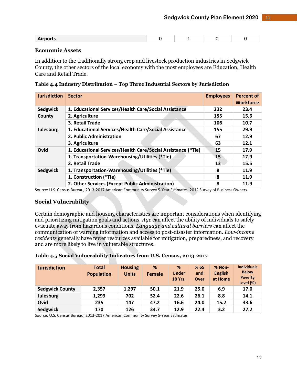| $\mathbf{A}$ is a set of $\mathbf{A}$<br>norry<br>AU PULU |  |  |
|-----------------------------------------------------------|--|--|
|                                                           |  |  |

#### **Economic Assets**

In addition to the traditionally strong crop and livestock production industries in Sedgwick County, the other sectors of the local economy with the most employees are Education, Health Care and Retail Trade.

|  | Table 4.4 Industry Distribution – Top Three Industrial Sectors by Jurisdiction |  |  |
|--|--------------------------------------------------------------------------------|--|--|
|  |                                                                                |  |  |
|  |                                                                                |  |  |

| <b>Jurisdiction</b> | <b>Sector</b>                                                | <b>Employees</b> | <b>Percent of</b><br><b>Workforce</b> |
|---------------------|--------------------------------------------------------------|------------------|---------------------------------------|
| Sedgwick            | 1. Educational Services/Health Care/Social Assistance        | 232              | 23.4                                  |
| County              | 2. Agriculture                                               | 155              | 15.6                                  |
|                     | 3. Retail Trade                                              | 106              | 10.7                                  |
| Julesburg           | 1. Educational Services/Health Care/Social Assistance        | 155              | 29.9                                  |
|                     | 2. Public Administration                                     | 67               | 12.9                                  |
|                     | 3. Agriculture                                               | 63               | 12.1                                  |
| Ovid                | 1. Educational Services/Health Care/Social Assistance (*Tie) | 15               | 17.9                                  |
|                     | 1. Transportation-Warehousing/Utilities (*Tie)               | 15               | 17.9                                  |
|                     | 2. Retail Trade                                              | 13               | 15.5                                  |
| Sedgwick            | 1. Transportation-Warehousing/Utilities (*Tie)               | 8                | 11.9                                  |
|                     | 1. Construction (*Tie)                                       | 8                | 11.9                                  |
|                     | 2. Other Services (Except Public Administration)             | 8                | 11.9                                  |

Source: U.S. Census Bureau, 2013-2017 American Community Survey 5-Year Estimates, 2012 Survey of Business Owners

## **Social Vulnerability**

Certain demographic and housing characteristics are important considerations when identifying and prioritizing mitigation goals and actions. *Age* can affect the ability of individuals to safely evacuate away from hazardous conditions. *Language and cultural barriers* can affect the communication of warning information and access to post-disaster information. *Low-income residents* generally have fewer resources available for mitigation, preparedness, and recovery and are more likely to live in vulnerable structures.

#### **Table 4.5 Social Vulnerability Indicators from U.S. Census, 2013-2017**

| <b>Jurisdiction</b>    | <b>Total</b><br><b>Population</b> | <b>Housing</b><br><b>Units</b> | %<br><b>Female</b> | %<br><b>Under</b><br><b>18 Yrs.</b> | %65<br>and<br>Over | $% Non-$<br><b>English</b><br>at Home | <b>Individuals</b><br><b>Below</b><br><b>Poverty</b><br>Level $(\%)$ |
|------------------------|-----------------------------------|--------------------------------|--------------------|-------------------------------------|--------------------|---------------------------------------|----------------------------------------------------------------------|
| <b>Sedgwick County</b> | 2,357                             | 1,297                          | 50.1               | 21.9                                | 25.0               | 6.9                                   | 17.0                                                                 |
| Julesburg              | 1,299                             | 702                            | 52.4               | 22.6                                | 26.1               | 8.8                                   | 14.1                                                                 |
| Ovid                   | 235                               | 147                            | 47.2               | 16.6                                | 24.0               | 15.2                                  | 33.6                                                                 |
| Sedgwick               | 170                               | 126                            | 34.7               | 12.9                                | 22.4               | 3.2                                   | 27.2                                                                 |

Source: U.S. Census Bureau, 2013-2017 American Community Survey 5-Year Estimates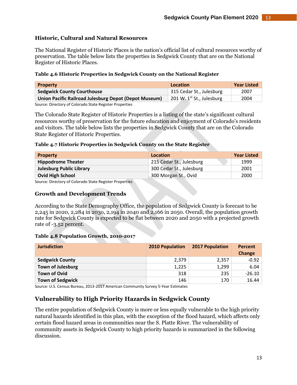# **Historic, Cultural and Natural Resources**

The National Register of Historic Places is the nation's official list of cultural resources worthy of preservation. The table below lists the properties in Sedgwick County that are on the National Register of Historic Places.

#### **Table 4.6 Historic Properties in Sedgwick County on the National Register**

| <b>Property</b>                                         | Location                       | <b>Year Listed</b> |
|---------------------------------------------------------|--------------------------------|--------------------|
| <b>Sedgwick County Courthouse</b>                       | 315 Cedar St., Julesburg       | 2007               |
| Union Pacific Railroad Julesburg Depot (Depot Museum)   | 201 W. $1^{st}$ St., Julesburg | 2004               |
| Source: Directory of Colorado State Register Properties |                                |                    |

The Colorado State Register of Historic Properties is a listing of the state's significant cultural resources worthy of preservation for the future education and enjoyment of Colorado's residents and visitors. The table below lists the properties in Sedgwick County that are on the Colorado State Register of Historic Properties.

#### **Table 4.7 Historic Properties in Sedgwick County on the State Register**

| <b>Property</b>                 | Location                 | <b>Year Listed</b> |
|---------------------------------|--------------------------|--------------------|
| <b>Hippodrome Theater</b>       | 215 Cedar St., Julesburg | 1999               |
| <b>Julesburg Public Library</b> | 300 Cedar St., Julesburg | 2001               |
| <b>Ovid High School</b>         | 300 Morgan St., Ovid     | 2000               |

Source: Directory of Colorado State Register Properties

## **Growth and Development Trends**

According to the State Demography Office, the population of Sedgwick County is forecast to be 2,245 in 2020, 2,284 in 203o, 2,194 in 2040 and 2,166 in 2050. Overall, the population growth rate for Sedgwick County is expected to be flat between 2020 and 2050 with a projected growth rate of -3.52 percent.

#### **Table 4.8 Population Growth, 2010-2017**

| <b>Jurisdiction</b>      | <b>2010 Population</b> | <b>2017 Population</b> | Percent<br>Change |
|--------------------------|------------------------|------------------------|-------------------|
| <b>Sedgwick County</b>   | 2,379                  | 2,357                  | $-0.92$           |
| <b>Town of Julesburg</b> | 1,225                  | 1,299                  | 6.04              |
| <b>Town of Ovid</b>      | 318                    | 235                    | $-26.10$          |
| <b>Town of Sedgwick</b>  | 146                    | 170                    | 16.44             |

Source: U.S. Census Bureau, 2013-2017 American Community Survey 5-Year Estimates

# **Vulnerability to High Priority Hazards in Sedgwick County**

The entire population of Sedgwick County is more or less equally vulnerable to the high priority natural hazards identified in this plan, with the exception of the flood hazard, which affects only certain flood hazard areas in communities near the S. Platte River. The vulnerability of community assets in Sedgwick County to high priority hazards is summarized in the following discussion.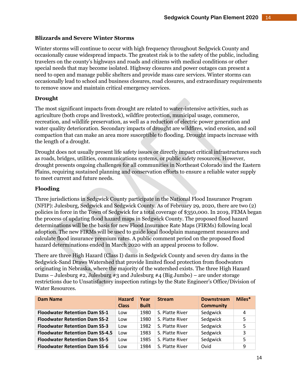#### **Blizzards and Severe Winter Storms**

Winter storms will continue to occur with high frequency throughout Sedgwick County and occasionally cause widespread impacts. The greatest risk is to the safety of the public, including travelers on the county's highways and roads and citizens with medical conditions or other special needs that may become isolated. Highway closures and power outages can present a need to open and manage public shelters and provide mass care services. Winter storms can occasionally lead to school and business closures, road closures, and extraordinary requirements to remove snow and maintain critical emergency services.

#### **Drought**

The most significant impacts from drought are related to water-intensive activities, such as agriculture (both crops and livestock), wildfire protection, municipal usage, commerce, recreation, and wildlife preservation, as well as a reduction of electric power generation and water quality deterioration. Secondary impacts of drought are wildfires, wind erosion, and soil compaction that can make an area more susceptible to flooding. Drought impacts increase with the length of a drought.

Drought does not usually present life safety issues or directly impact critical infrastructures such as roads, bridges, utilities, communications systems, or public safety resources. However, drought presents ongoing challenges for all communities in Northeast Colorado and the Eastern Plains, requiring sustained planning and conservation efforts to ensure a reliable water supply to meet current and future needs.

## **Flooding**

Three jurisdictions in Sedgwick County participate in the National Flood Insurance Program (NFIP): Julesburg, Sedgwick and Sedgwick County. As of February 29, 2020, there are two (2) policies in force in the Town of Sedgwick for a total coverage of \$350,000. In 2019, FEMA began the process of updating flood hazard maps in Sedgwick County. The proposed flood hazard determinations will be the basis for new Flood Insurance Rate Maps (FIRMs) following local adoption. The new FIRMs will be used to guide local floodplain management measures and calculate flood insurance premium rates. A public comment period on the proposed flood hazard determinations ended in March 2020 with an appeal process to follow.

There are three High Hazard (Class I) dams in Sedgwick County and seven dry dams in the Sedgwick-Sand Draws Watershed that provide limited flood protection from floodwaters originating in Nebraska, where the majority of the watershed exists. The three High Hazard Dams – Julesburg #2, Julesburg #3 and Julesburg #4 (Big Jumbo) – are under storage restrictions due to Unsatisfactory inspection ratings by the State Engineer's Office/Division of Water Resources.

| <b>Dam Name</b>                        | <b>Hazard</b> | Year         | <b>Stream</b>   | <b>Downstream</b> | Miles* |
|----------------------------------------|---------------|--------------|-----------------|-------------------|--------|
|                                        | <b>Class</b>  | <b>Built</b> |                 | <b>Community</b>  |        |
| <b>Floodwater Retention Dam SS-1</b>   | Low           | 1980         | S. Platte River | Sedgwick          | 4      |
| <b>Floodwater Retention Dam SS-2</b>   | Low           | 1980         | S. Platte River | Sedgwick          | 5      |
| <b>Floodwater Retention Dam SS-3</b>   | Low           | 1982         | S. Platte River | Sedgwick          | 5      |
| <b>Floodwater Retention Dam SS-4.5</b> | LOW           | 1983         | S. Platte River | Sedgwick          | 3      |
| <b>Floodwater Retention Dam SS-5</b>   | Low           | 1985         | S. Platte River | Sedgwick          | 5      |
| <b>Floodwater Retention Dam SS-6</b>   | Low           | 1984         | S. Platte River | Ovid              | 9      |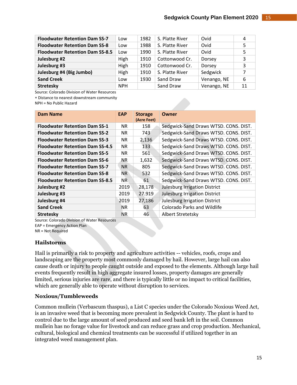| <b>Floodwater Retention Dam SS-7</b>   | Low        | 1982 | S. Platte River | Ovid        | 4  |
|----------------------------------------|------------|------|-----------------|-------------|----|
| <b>Floodwater Retention Dam SS-8</b>   | Low        | 1988 | S. Platte River | Ovid        | 5  |
| <b>Floodwater Retention Dam SS-8.5</b> | ∟0W        | 1990 | S. Platte River | Ovid        | 5  |
| Julesburg #2                           | High       | 1910 | Cottonwood Cr.  | Dorsey      | 3  |
| Julesburg #3                           | High       | 1910 | Cottonwood Cr.  | Dorsey      | 3  |
| Julesburg #4 (Big Jumbo)               | High       | 1910 | S. Platte River | Sedgwick    |    |
| <b>Sand Creek</b>                      | Low        | 1930 | Sand Draw       | Venango, NE | 6  |
| <b>Stretesky</b>                       | <b>NPH</b> |      | Sand Draw       | Venango, NE | 11 |

Source: Colorado Division of Water Resources

Distance to nearest downstream community

NPH = No Public Hazard

| <b>Dam Name</b>                        | <b>EAP</b> | <b>Storage</b> | Owner                                 |
|----------------------------------------|------------|----------------|---------------------------------------|
|                                        |            | (Acre Feet)    |                                       |
| <b>Floodwater Retention Dam SS-1</b>   | NR.        | 158            | Sedgwick-Sand Draws WTSD. CONS. DIST. |
| <b>Floodwater Retention Dam SS-2</b>   | NR.        | 743            | Sedgwick-Sand Draws WTSD. CONS. DIST. |
| <b>Floodwater Retention Dam SS-3</b>   | NR.        | 2,136          | Sedgwick-Sand Draws WTSD. CONS. DIST. |
| <b>Floodwater Retention Dam SS-4.5</b> | NR.        | 133            | Sedgwick-Sand Draws WTSD. CONS. DIST. |
| <b>Floodwater Retention Dam SS-5</b>   | NR.        | 561            | Sedgwick-Sand Draws WTSD. CONS. DIST. |
| <b>Floodwater Retention Dam SS-6</b>   | NR.        | 1,632          | Sedgwick-Sand Draws WTSD. CONS. DIST. |
| <b>Floodwater Retention Dam SS-7</b>   | NR.        | 805            | Sedgwick-Sand Draws WTSD. CONS. DIST. |
| <b>Floodwater Retention Dam SS-8</b>   | NR.        | 532            | Sedgwick-Sand Draws WTSD. CONS. DIST. |
| <b>Floodwater Retention Dam SS-8.5</b> | NR.        | 61             | Sedgwick-Sand Draws WTSD. CONS. DIST. |
| Julesburg #2                           | 2019       | 28,178         | Julesburg Irrigation District         |
| Julesburg #3                           | 2019       | 27.919         | <b>Julesburg Irrigation District</b>  |
| Julesburg #4                           | 2019       | 27,186         | Julesburg Irrigation District         |
| <b>Sand Creek</b>                      | <b>NR</b>  | 63             | <b>Colorado Parks and Wildlife</b>    |
| <b>Stretesky</b>                       | <b>NR</b>  | 46             | Albert Stretetsky                     |

Source: Colorado Division of Water Resources

EAP = Emergency Action Plan

NR = Not Required

#### **Hailstorms**

Hail is primarily a risk to property and agriculture activities -- vehicles, roofs, crops and landscaping are the property most commonly damaged by hail. However, large hail can also cause death or injury to people caught outside and exposed to the elements. Although large hail events frequently result in high aggregate insured losses, property damages are generally limited, serious injuries are rare, and there is typically little or no impact to critical facilities, which are generally able to operate without disruption to services.

#### **Noxious/Tumbleweeds**

Common mullein (Verbascum thaspus), a List C species under the Colorado Noxious Weed Act, is an invasive weed that is becoming more prevalent in Sedgwick County. The plant is hard to control due to the large amount of seed produced and seed bank left in the soil. Common mullein has no forage value for livestock and can reduce grass and crop production. Mechanical, cultural, biological and chemical treatments can be successful if utilized together in an integrated weed management plan.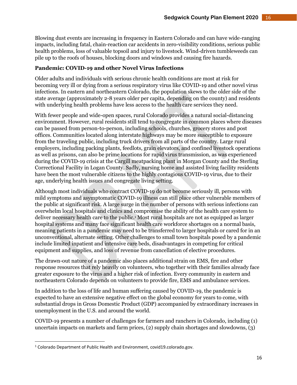Blowing dust events are increasing in frequency in Eastern Colorado and can have wide-ranging impacts, including fatal, chain-reaction car accidents in zero-visibility conditions, serious public health problems, loss of valuable topsoil and injury to livestock. Wind-driven tumbleweeds can pile up to the roofs of houses, blocking doors and windows and causing fire hazards.

#### **Pandemic: COVID-19 and other Novel Virus Infections**

Older adults and individuals with serious chronic health conditions are most at risk for becoming very ill or dying from a serious respiratory virus like COVID-19 and other novel virus infections. In eastern and northeastern Colorado, the population skews to the older side of the state average (approximately 2-8 years older per capita, depending on the county) and residents with underlying health problems have less access to the health care services they need.

With fewer people and wide-open spaces, rural Colorado provides a natural social-distancing environment. However, rural residents still tend to congregate in common places where diseases can be passed from person-to-person, including schools, churches, grocery stores and post offices. Communities located along interstate highways may be more susceptible to exposure from the traveling public, including truck drivers from all parts of the country. Large rural employers, including packing plants, feedlots, grain elevators, and confined livestock operations as well as prisons, can also be prime locations for rapid virus transmission, as was experienced during the COVID-19 crisis at the Cargill meatpacking plant in Morgan County and the Sterling Correctional Facility in Logan County. Sadly, nursing home and assisted living facility residents have been the most vulnerable citizens to the highly contagious COVID-19 virus, due to their age, underlying health issues and congregate living setting.

Although most individuals who contract COVID-19 do not become seriously ill, persons with mild symptoms and asymptomatic COVID-19 illness can still place other vulnerable members of the public at significant risk. A large surge in the number of persons with serious infections can overwhelm local hospitals and clinics and compromise the ability of the health care system to deliver necessary health care to the public.<sup>1</sup> Most rural hospitals are not as equipped as larger hospital systems and many face significant health care workforce shortages on a normal basis, meaning patients in a pandemic may need to be transferred to larger hospitals or cared for in an unconventional, alternate setting. Other challenges to small town hospitals posed by a pandemic include limited inpatient and intensive care beds, disadvantages in competing for critical equipment and supplies, and loss of revenue from cancellation of elective procedures.

The drawn-out nature of a pandemic also places additional strain on EMS, fire and other response resources that rely heavily on volunteers, who together with their families already face greater exposure to the virus and a higher risk of infection. Every community in eastern and northeastern Colorado depends on volunteers to provide fire, EMS and ambulance services.

In addition to the loss of life and human suffering caused by COVID-19, the pandemic is expected to have an extensive negative effect on the global economy for years to come, with substantial drops in Gross Domestic Product (GDP) accompanied by extraordinary increases in unemployment in the U.S. and around the world.

COVID-19 presents a number of challenges for farmers and ranchers in Colorado, including (1) uncertain impacts on markets and farm prices, (2) supply chain shortages and slowdowns, (3)

<sup>1</sup> Colorado Department of Public Health and Environment, covid19.colorado.gov.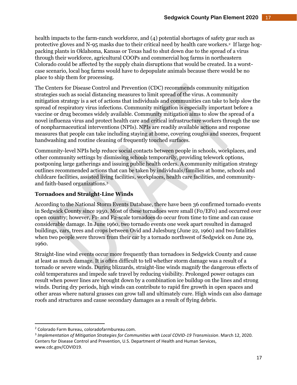health impacts to the farm-ranch workforce, and (4) potential shortages of safety gear such as protective gloves and N-95 masks due to their critical need by health care workers.<sup>2</sup> If large hogpacking plants in Oklahoma, Kansas or Texas had to shut down due to the spread of a virus through their workforce, agricultural COOPs and commercial hog farms in northeastern Colorado could be affected by the supply chain disruptions that would be created. In a worstcase scenario, local hog farms would have to depopulate animals because there would be no place to ship them for processing.

The Centers for Disease Control and Prevention (CDC) recommends community mitigation strategies such as social distancing measures to limit spread of the virus. A community mitigation strategy is a set of actions that individuals and communities can take to help slow the spread of respiratory virus infections. Community mitigation is especially important before a vaccine or drug becomes widely available. Community mitigation aims to slow the spread of a novel influenza virus and protect health care and critical infrastructure workers through the use of nonpharmaceutical interventions (NPIs). NPIs are readily available actions and response measures that people can take including staying at home, covering coughs and sneezes, frequent handwashing and routine cleaning of frequently touched surfaces.

Community-level NPIs help reduce social contacts between people in schools, workplaces, and other community settings by dismissing schools temporarily, providing telework options, postponing large gatherings and issuing public health orders. A community mitigation strategy outlines recommended actions that can be taken by individuals/families at home, schools and childcare facilities, assisted living facilities, workplaces, health care facilities, and communityand faith-based organizations.<sup>3</sup>

# **Tornadoes and Straight-Line Winds**

According to the National Storm Events Database, there have been 36 confirmed tornado events in Sedgwick County since 1950. Most of these tornadoes were small (F0/EF0) and occurred over open country; however, F1- and F2-scale tornadoes do occur from time to time and can cause considerable damage. In June 1960, two tornado events one week apart resulted in damaged buildings, cars, trees and crops between Ovid and Julesburg (June 22, 1960) and two fatalities when two people were thrown from their car by a tornado northwest of Sedgwick on June 29, 1960.

Straight-line wind events occur more frequently than tornadoes in Sedgwick County and cause at least as much damage. It is often difficult to tell whether storm damage was a result of a tornado or severe winds. During blizzards, straight-line winds magnify the dangerous effects of cold temperatures and impede safe travel by reducing visibility. Prolonged power outages can result when power lines are brought down by a combination ice buildup on the lines and strong winds. During dry periods, high winds can contribute to rapid fire growth in open spaces and other areas where natural grasses can grow tall and ultimately cure. High winds can also damage roofs and structures and cause secondary damages as a result of flying debris.

<sup>2</sup> Colorado Farm Bureau, coloradofarmbureau.com.

<sup>3</sup> *Implementation of Mitigation Strategies for Communities with Local COVID-19 Transmission*. March 12, 2020. Centers for Disease Control and Prevention, U.S. Department of Health and Human Services, www.cdc.gov/COVID19.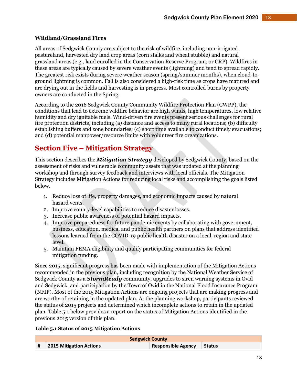# **Wildland/Grassland Fires**

All areas of Sedgwick County are subject to the risk of wildfire, including non-irrigated pastureland, harvested dry land crop areas (corn stalks and wheat stubble) and natural grassland areas (e.g., land enrolled in the Conservation Reserve Program, or CRP). Wildfires in these areas are typically caused by severe weather events (lightning) and tend to spread rapidly. The greatest risk exists during severe weather season (spring/summer months), when cloud-toground lightning is common. Fall is also considered a high-risk time as crops have matured and are drying out in the fields and harvesting is in progress. Most controlled burns by property owners are conducted in the Spring.

According to the 2016 Sedgwick County Community Wildfire Protection Plan (CWPP), the conditions that lead to extreme wildfire behavior are high winds, high temperatures, low relative humidity and dry ignitable fuels. Wind-driven fire events present serious challenges for rural fire protection districts, including (a) distance and access to many rural locations; (b) difficulty establishing buffers and zone boundaries; (c) short time available to conduct timely evacuations; and (d) potential manpower/resource limits with volunteer fire organizations.

# **Section Five – Mitigation Strategy**

This section describes the *Mitigation Strategy* developed by Sedgwick County, based on the assessment of risks and vulnerable community assets that was updated at the planning workshop and through survey feedback and interviews with local officials. The Mitigation Strategy includes Mitigation Actions for reducing local risks and accomplishing the goals listed below.

- 1. Reduce loss of life, property damages, and economic impacts caused by natural hazard vents.
- 2. Improve county-level capabilities to reduce disaster losses.
- 3. Increase public awareness of potential hazard impacts.
- 4. Improve preparedness for future pandemic events by collaborating with government, business, education, medical and public health partners on plans that address identified lessons learned from the COVID-19 public health disaster on a local, region and state level.
- 5. Maintain FEMA eligibility and qualify participating communities for federal mitigation funding.

Since 2015, significant progress has been made with implementation of the Mitigation Actions recommended in the previous plan, including recognition by the National Weather Service of Sedgwick County as a *StormReady* community, upgrades to siren warning systems in Ovid and Sedgwick, and participation by the Town of Ovid in the National Flood Insurance Program (NFIP). Most of the 2015 Mitigation Actions are ongoing projects that are making progress and are worthy of retaining in the updated plan. At the planning workshop, participants reviewed the status of 2015 projects and determined which incomplete actions to retain in the updated plan. Table 5.1 below provides a report on the status of Mitigation Actions identified in the previous 2015 version of this plan.

#### **Table 5.1 Status of 2015 Mitigation Actions**

| <b>Sedgwick County</b> |                                   |                           |  |  |  |
|------------------------|-----------------------------------|---------------------------|--|--|--|
|                        | $\vert$ # 2015 Mitigation Actions | Responsible Agency Status |  |  |  |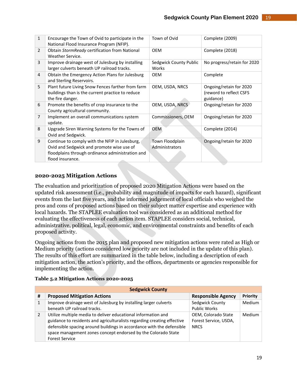| $\mathbf{1}$   | Encourage the Town of Ovid to participate in the<br>National Flood Insurance Program (NFIP).                                                                        | Town of Ovid                      | Complete (2009)                                                 |
|----------------|---------------------------------------------------------------------------------------------------------------------------------------------------------------------|-----------------------------------|-----------------------------------------------------------------|
| $\overline{2}$ | Obtain StormReady certification from National<br>Weather Service.                                                                                                   | <b>OEM</b>                        | Complete (2018)                                                 |
| 3              | Improve drainage west of Julesburg by installing<br>larger culverts beneath UP railroad tracks.                                                                     | Sedgwick County Public<br>Works   | No progress/retain for 2020                                     |
| 4              | Obtain the Emergency Action Plans for Julesburg<br>and Sterling Reservoirs.                                                                                         | <b>OEM</b>                        | Complete                                                        |
| 5              | Plant future Living Snow Fences farther from farm<br>buildings than is the current practice to reduce<br>the fire danger.                                           | OEM, USDA, NRCS                   | Ongoing/retain for 2020<br>(reword to reflect CSFS<br>guidance) |
| 6              | Promote the benefits of crop insurance to the<br>County agricultural community.                                                                                     | OEM, USDA, NRCS                   | Ongoing/retain for 2020                                         |
| $\overline{7}$ | Implement an overall communications system<br>update.                                                                                                               | Commissioners, OEM                | Ongoing/retain for 2020                                         |
| 8              | Upgrade Siren Warning Systems for the Towns of<br>Ovid and Sedgwick.                                                                                                | <b>OEM</b>                        | Complete (2014)                                                 |
| 9              | Continue to comply with the NFIP in Julesburg,<br>Ovid and Sedgwick and promote wise use of<br>floodplains through ordinance administration and<br>flood insurance. | Town Floodplain<br>Administrators | Ongoing/retain for 2020                                         |

## **2020-2025 Mitigation Actions**

The evaluation and prioritization of proposed 2020 Mitigation Actions were based on the updated risk assessment (i.e., probability and magnitude of impacts for each hazard), significant events from the last five years, and the informed judgement of local officials who weighed the pros and cons of proposed actions based on their subject matter expertise and experience with local hazards. The STAPLEE evaluation tool was considered as an additional method for evaluating the effectiveness of each action item. STAPLEE considers social, technical, administrative, political, legal, economic, and environmental constraints and benefits of each proposed activity.

Ongoing actions from the 2015 plan and proposed new mitigation actions were rated as High or Medium priority (actions considered low priority are not included in the update of this plan). The results of this effort are summarized in the table below, including a description of each mitigation action, the action's priority, and the offices, departments or agencies responsible for implementing the action.

#### **Table 5.2 Mitigation Actions 2020-2025**

|   | <b>Sedgwick County</b>                                                                                                                                                                                                                                                                                      |                                                             |          |  |  |  |  |
|---|-------------------------------------------------------------------------------------------------------------------------------------------------------------------------------------------------------------------------------------------------------------------------------------------------------------|-------------------------------------------------------------|----------|--|--|--|--|
| # | <b>Proposed Mitigation Actions</b>                                                                                                                                                                                                                                                                          | <b>Responsible Agency</b>                                   | Priority |  |  |  |  |
| 1 | Improve drainage west of Julesburg by installing larger culverts<br>beneath UP railroad tracks.                                                                                                                                                                                                             | Sedgwick County<br><b>Public Works</b>                      | Medium   |  |  |  |  |
| 2 | Utilize multiple media to deliver educational information and<br>guidance to residents and agriculturalists regarding creating effective<br>defensible spacing around buildings in accordance with the defensible<br>space management zones concept endorsed by the Colorado State<br><b>Forest Service</b> | OEM, Colorado State<br>Forest Service, USDA,<br><b>NRCS</b> | Medium   |  |  |  |  |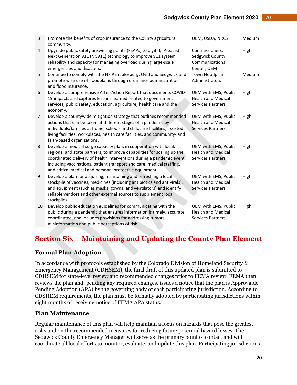| 3              | Promote the benefits of crop insurance to the County agricultural<br>community.                                                                                                                                                                                                                                                                           | OEM, USDA, NRCS                                                               | Medium |
|----------------|-----------------------------------------------------------------------------------------------------------------------------------------------------------------------------------------------------------------------------------------------------------------------------------------------------------------------------------------------------------|-------------------------------------------------------------------------------|--------|
| $\overline{4}$ | Upgrade public safety answering points (PSAPs) to digital, IP-based<br>Next Generation 911 (NG911) technology to improve 911 system<br>reliability and capacity for managing overload during large-scale<br>emergencies and disasters.                                                                                                                    | Commissioners,<br>Sedgwick County<br>Communications<br>Center, OEM            | High   |
| 5              | Continue to comply with the NFIP in Julesburg, Ovid and Sedgwick and<br>promote wise use of floodplains through ordinance administration<br>and flood insurance.                                                                                                                                                                                          | Town Floodplain<br>Administrators                                             | Medium |
| 6              | Develop a comprehensive After-Action Report that documents COVID-<br>19 impacts and captures lessons learned related to government<br>services, public safety, education, agriculture, health care and the<br>economy.                                                                                                                                    | OEM with EMS, Public<br><b>Health and Medical</b><br><b>Services Partners</b> | High   |
| $\overline{7}$ | Develop a countywide mitigation strategy that outlines recommended<br>actions that can be taken at different stages of a pandemic by<br>individuals/families at home, schools and childcare facilities, assisted<br>living facilities, workplaces, health care facilities, and community- and<br>faith-based organizations.                               | OEM with EMS, Public<br><b>Health and Medical</b><br><b>Services Partners</b> | High   |
| 8              | Develop a medical surge capacity plan, in cooperation with local,<br>regional and state partners, to improve capabilities for scaling up the<br>coordinated delivery of health interventions during a pandemic event,<br>including vaccinations, patient transport and care, medical staffing,<br>and critical medical and personal protective equipment. | OEM with EMS, Public<br><b>Health and Medical</b><br><b>Services Partners</b> | High   |
| 9              | Develop a plan for acquiring, maintaining and refreshing a local<br>stockpile of vaccines, medicines (including antibiotics and antivirals),<br>and equipment (such as masks, gowns, and ventilators) and identify<br>reliable vendors and other external sources to supplement local<br>stockpiles.                                                      | OEM with EMS, Public<br><b>Health and Medical</b><br><b>Services Partners</b> | High   |
| 10             | Develop public education guidelines for communicating with the<br>public during a pandemic that ensures information is timely, accurate,<br>coordinated, and includes provisions for addressing rumors,<br>misinformation and public perceptions of risk.                                                                                                 | OEM with EMS, Public<br><b>Health and Medical</b><br><b>Services Partners</b> | High   |

# **Section Six – Maintaining and Updating the County Plan Element**

# **Formal Plan Adoption**

In accordance with protocols established by the Colorado Division of Homeland Security & Emergency Management (CDHSEM), the final draft of this updated plan is submitted to CDHSEM for state-level review and recommended changes prior to FEMA review. FEMA then reviews the plan and, pending any required changes, issues a notice that the plan is Approvable Pending Adoption (APA) by the governing body of each participating jurisdiction. According to CDSHEM requirements, the plan must be formally adopted by participating jurisdictions within eight months of receiving notice of FEMA APA status.

# **Plan Maintenance**

Regular maintenance of this plan will help maintain a focus on hazards that pose the greatest risks and on the recommended measures for reducing future potential hazard losses. The Sedgwick County Emergency Manager will serve as the primary point of contact and will coordinate all local efforts to monitor, evaluate, and update this plan. Participating jurisdictions